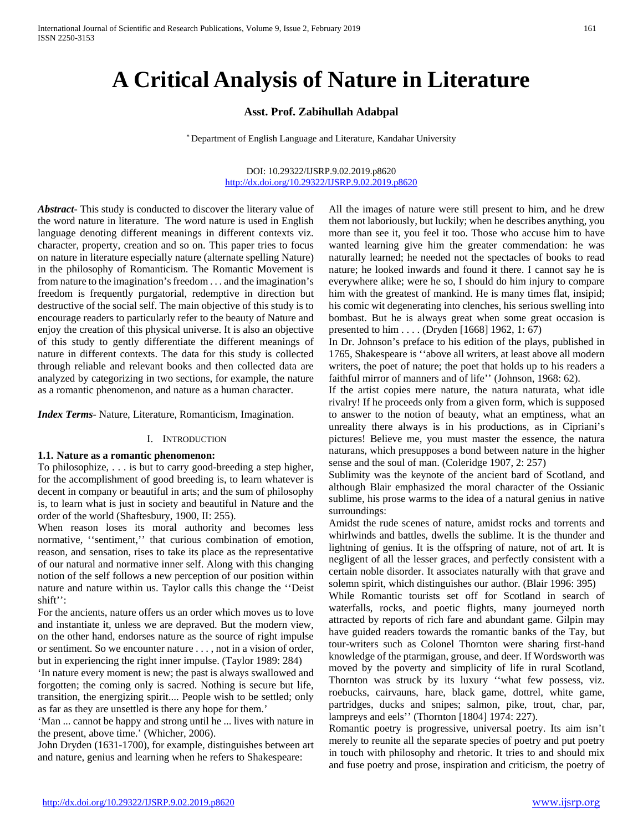# **A Critical Analysis of Nature in Literature**

## **Asst. Prof. Zabihullah Adabpal**

\* Department of English Language and Literature, Kandahar University

## DOI: 10.29322/IJSRP.9.02.2019.p8620 <http://dx.doi.org/10.29322/IJSRP.9.02.2019.p8620>

*Abstract***-** This study is conducted to discover the literary value of the word nature in literature. The word nature is used in English language denoting different meanings in different contexts viz. character, property, creation and so on. This paper tries to focus on nature in literature especially nature (alternate spelling Nature) in the philosophy of Romanticism. The Romantic Movement is from nature to the imagination's freedom . . . and the imagination's freedom is frequently purgatorial, redemptive in direction but destructive of the social self. The main objective of this study is to encourage readers to particularly refer to the beauty of Nature and enjoy the creation of this physical universe. It is also an objective of this study to gently differentiate the different meanings of nature in different contexts. The data for this study is collected through reliable and relevant books and then collected data are analyzed by categorizing in two sections, for example, the nature as a romantic phenomenon, and nature as a human character.

*Index Terms*- Nature, Literature, Romanticism, Imagination.

## I. INTRODUCTION

## **1.1. Nature as a romantic phenomenon:**

To philosophize, . . . is but to carry good-breeding a step higher, for the accomplishment of good breeding is, to learn whatever is decent in company or beautiful in arts; and the sum of philosophy is, to learn what is just in society and beautiful in Nature and the order of the world (Shaftesbury, 1900, II: 255).

When reason loses its moral authority and becomes less normative, ''sentiment,'' that curious combination of emotion, reason, and sensation, rises to take its place as the representative of our natural and normative inner self. Along with this changing notion of the self follows a new perception of our position within nature and nature within us. Taylor calls this change the ''Deist shift'':

For the ancients, nature offers us an order which moves us to love and instantiate it, unless we are depraved. But the modern view, on the other hand, endorses nature as the source of right impulse or sentiment. So we encounter nature . . . , not in a vision of order, but in experiencing the right inner impulse. (Taylor 1989: 284)

'In nature every moment is new; the past is always swallowed and forgotten; the coming only is sacred. Nothing is secure but life, transition, the energizing spirit.... People wish to be settled; only as far as they are unsettled is there any hope for them.'

'Man ... cannot be happy and strong until he ... lives with nature in the present, above time.' (Whicher, 2006).

John Dryden (1631-1700), for example, distinguishes between art and nature, genius and learning when he refers to Shakespeare:

All the images of nature were still present to him, and he drew them not laboriously, but luckily; when he describes anything, you more than see it, you feel it too. Those who accuse him to have wanted learning give him the greater commendation: he was naturally learned; he needed not the spectacles of books to read nature; he looked inwards and found it there. I cannot say he is everywhere alike; were he so, I should do him injury to compare him with the greatest of mankind. He is many times flat, insipid; his comic wit degenerating into clenches, his serious swelling into bombast. But he is always great when some great occasion is presented to him . . . . (Dryden [1668] 1962, 1: 67)

In Dr. Johnson's preface to his edition of the plays, published in 1765, Shakespeare is ''above all writers, at least above all modern writers, the poet of nature; the poet that holds up to his readers a faithful mirror of manners and of life'' (Johnson, 1968: 62).

If the artist copies mere nature, the natura naturata, what idle rivalry! If he proceeds only from a given form, which is supposed to answer to the notion of beauty, what an emptiness, what an unreality there always is in his productions, as in Cipriani's pictures! Believe me, you must master the essence, the natura naturans, which presupposes a bond between nature in the higher sense and the soul of man. (Coleridge 1907, 2: 257)

Sublimity was the keynote of the ancient bard of Scotland, and although Blair emphasized the moral character of the Ossianic sublime, his prose warms to the idea of a natural genius in native surroundings:

Amidst the rude scenes of nature, amidst rocks and torrents and whirlwinds and battles, dwells the sublime. It is the thunder and lightning of genius. It is the offspring of nature, not of art. It is negligent of all the lesser graces, and perfectly consistent with a certain noble disorder. It associates naturally with that grave and solemn spirit, which distinguishes our author. (Blair 1996: 395)

While Romantic tourists set off for Scotland in search of waterfalls, rocks, and poetic flights, many journeyed north attracted by reports of rich fare and abundant game. Gilpin may have guided readers towards the romantic banks of the Tay, but tour-writers such as Colonel Thornton were sharing first-hand knowledge of the ptarmigan, grouse, and deer. If Wordsworth was moved by the poverty and simplicity of life in rural Scotland, Thornton was struck by its luxury ''what few possess, viz. roebucks, cairvauns, hare, black game, dottrel, white game, partridges, ducks and snipes; salmon, pike, trout, char, par, lampreys and eels'' (Thornton [1804] 1974: 227).

Romantic poetry is progressive, universal poetry. Its aim isn't merely to reunite all the separate species of poetry and put poetry in touch with philosophy and rhetoric. It tries to and should mix and fuse poetry and prose, inspiration and criticism, the poetry of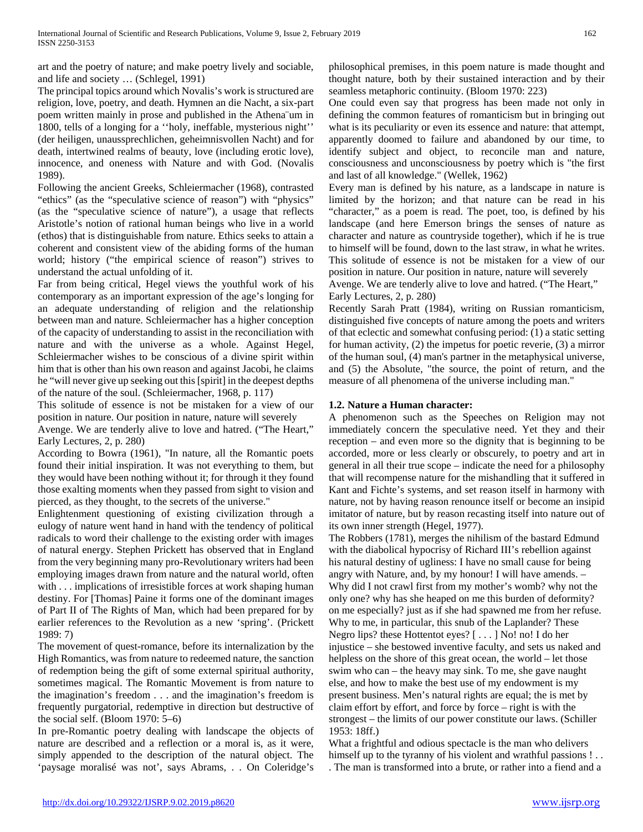art and the poetry of nature; and make poetry lively and sociable, and life and society … (Schlegel, 1991)

The principal topics around which Novalis's work is structured are religion, love, poetry, and death. Hymnen an die Nacht, a six-part poem written mainly in prose and published in the Athena¨um in 1800, tells of a longing for a ''holy, ineffable, mysterious night'' (der heiligen, unaussprechlichen, geheimnisvollen Nacht) and for death, intertwined realms of beauty, love (including erotic love), innocence, and oneness with Nature and with God. (Novalis 1989).

Following the ancient Greeks, Schleiermacher (1968), contrasted "ethics" (as the "speculative science of reason") with "physics" (as the "speculative science of nature"), a usage that reflects Aristotle's notion of rational human beings who live in a world (ethos) that is distinguishable from nature. Ethics seeks to attain a coherent and consistent view of the abiding forms of the human world; history ("the empirical science of reason") strives to understand the actual unfolding of it.

Far from being critical, Hegel views the youthful work of his contemporary as an important expression of the age's longing for an adequate understanding of religion and the relationship between man and nature. Schleiermacher has a higher conception of the capacity of understanding to assist in the reconciliation with nature and with the universe as a whole. Against Hegel, Schleiermacher wishes to be conscious of a divine spirit within him that is other than his own reason and against Jacobi, he claims he "will never give up seeking out this [spirit] in the deepest depths of the nature of the soul. (Schleiermacher, 1968, p. 117)

This solitude of essence is not be mistaken for a view of our position in nature. Our position in nature, nature will severely

Avenge. We are tenderly alive to love and hatred. ("The Heart," Early Lectures, 2, p. 280)

According to Bowra (1961), "In nature, all the Romantic poets found their initial inspiration. It was not everything to them, but they would have been nothing without it; for through it they found those exalting moments when they passed from sight to vision and pierced, as they thought, to the secrets of the universe."

Enlightenment questioning of existing civilization through a eulogy of nature went hand in hand with the tendency of political radicals to word their challenge to the existing order with images of natural energy. Stephen Prickett has observed that in England from the very beginning many pro-Revolutionary writers had been employing images drawn from nature and the natural world, often with . . . implications of irresistible forces at work shaping human destiny. For [Thomas] Paine it forms one of the dominant images of Part II of The Rights of Man, which had been prepared for by earlier references to the Revolution as a new 'spring'. (Prickett 1989: 7)

The movement of quest-romance, before its internalization by the High Romantics, was from nature to redeemed nature, the sanction of redemption being the gift of some external spiritual authority, sometimes magical. The Romantic Movement is from nature to the imagination's freedom . . . and the imagination's freedom is frequently purgatorial, redemptive in direction but destructive of the social self. (Bloom 1970: 5–6)

In pre-Romantic poetry dealing with landscape the objects of nature are described and a reflection or a moral is, as it were, simply appended to the description of the natural object. The 'paysage moralisé was not', says Abrams, . . On Coleridge's philosophical premises, in this poem nature is made thought and thought nature, both by their sustained interaction and by their seamless metaphoric continuity. (Bloom 1970: 223)

One could even say that progress has been made not only in defining the common features of romanticism but in bringing out what is its peculiarity or even its essence and nature: that attempt, apparently doomed to failure and abandoned by our time, to identify subject and object, to reconcile man and nature, consciousness and unconsciousness by poetry which is "the first and last of all knowledge." (Wellek, 1962)

Every man is defined by his nature, as a landscape in nature is limited by the horizon; and that nature can be read in his "character," as a poem is read. The poet, too, is defined by his landscape (and here Emerson brings the senses of nature as character and nature as countryside together), which if he is true to himself will be found, down to the last straw, in what he writes. This solitude of essence is not be mistaken for a view of our position in nature. Our position in nature, nature will severely Avenge. We are tenderly alive to love and hatred. ("The Heart,"

Early Lectures, 2, p. 280)

Recently Sarah Pratt (1984), writing on Russian romanticism, distinguished five concepts of nature among the poets and writers of that eclectic and somewhat confusing period: (1) a static setting for human activity, (2) the impetus for poetic reverie, (3) a mirror of the human soul, (4) man's partner in the metaphysical universe, and (5) the Absolute, "the source, the point of return, and the measure of all phenomena of the universe including man."

## **1.2. Nature a Human character:**

A phenomenon such as the Speeches on Religion may not immediately concern the speculative need. Yet they and their reception – and even more so the dignity that is beginning to be accorded, more or less clearly or obscurely, to poetry and art in general in all their true scope – indicate the need for a philosophy that will recompense nature for the mishandling that it suffered in Kant and Fichte's systems, and set reason itself in harmony with nature, not by having reason renounce itself or become an insipid imitator of nature, but by reason recasting itself into nature out of its own inner strength (Hegel, 1977).

The Robbers (1781), merges the nihilism of the bastard Edmund with the diabolical hypocrisy of Richard III's rebellion against his natural destiny of ugliness: I have no small cause for being angry with Nature, and, by my honour! I will have amends. – Why did I not crawl first from my mother's womb? why not the only one? why has she heaped on me this burden of deformity? on me especially? just as if she had spawned me from her refuse. Why to me, in particular, this snub of the Laplander? These Negro lips? these Hottentot eyes? [ . . . ] No! no! I do her injustice – she bestowed inventive faculty, and sets us naked and helpless on the shore of this great ocean, the world – let those swim who can – the heavy may sink. To me, she gave naught else, and how to make the best use of my endowment is my present business. Men's natural rights are equal; the is met by claim effort by effort, and force by force – right is with the strongest – the limits of our power constitute our laws. (Schiller 1953: 18ff.)

What a frightful and odious spectacle is the man who delivers himself up to the tyranny of his violent and wrathful passions ! . . . The man is transformed into a brute, or rather into a fiend and a